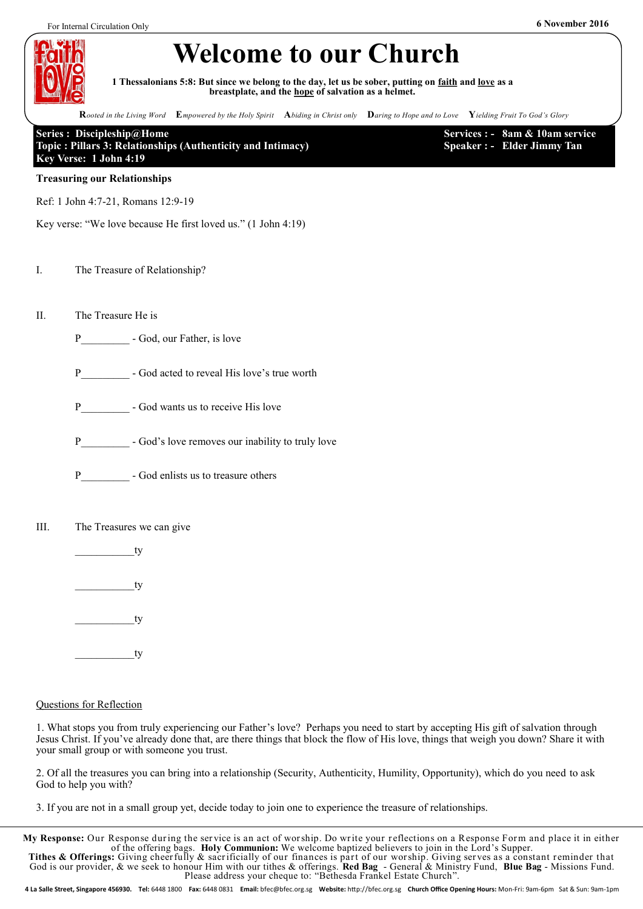

# **Welcome to our Church**

**1 Thessalonians 5:8: But since we belong to the day, let us be sober, putting on faith and love as a breastplate, and the hope of salvation as a helmet.**

**R***ooted in the Living Word* **E***mpowered by the Holy Spirit* **A***biding in Christ only* **D***aring to Hope and to Love* **Y***ielding Fruit To God's Glory*

### **Series : Discipleship@Home Topic : Pillars 3: Relationships (Authenticity and Intimacy) Key Verse: 1 John 4:19**

**Services : - 8am & 10am service Speaker : - Elder Jimmy Tan**

### **Treasuring our Relationships**

Ref: 1 John 4:7-21, Romans 12:9-19

Key verse: "We love because He first loved us." (1 John 4:19)

### I. The Treasure of Relationship?

- II. The Treasure He is
	- P God, our Father, is love
	- P God acted to reveal His love's true worth
	- P God wants us to receive His love
	- P God's love removes our inability to truly love
	- P God enlists us to treasure others

### III. The Treasures we can give

- \_\_\_\_\_\_\_\_\_\_\_ty
- ty

 $\_\_$ 

ty

### Questions for Reflection

1. What stops you from truly experiencing our Father's love? Perhaps you need to start by accepting His gift of salvation through Jesus Christ. If you've already done that, are there things that block the flow of His love, things that weigh you down? Share it with your small group or with someone you trust.

2. Of all the treasures you can bring into a relationship (Security, Authenticity, Humility, Opportunity), which do you need to ask God to help you with?

3. If you are not in a small group yet, decide today to join one to experience the treasure of relationships.

**My Response:** Our Response dur ing the ser vice is an act of wor ship. Do wr ite your r eflections on a Response For m and place it in either of the offering bags. **Holy Communion:** We welcome baptized believers to join in the Lord's Supper. **Tithes & Offerings:** Giving cheer fully & sacrificially of our finances is part of our worship. Giving serves as a constant reminder that God is our provider, & we seek to honour Him with our tithes & offerings. **Red Bag** - General & Ministry Fund, **Blue Bag** - Missions Fund. Please address your cheque to: "Bethesda Frankel Estate Church".